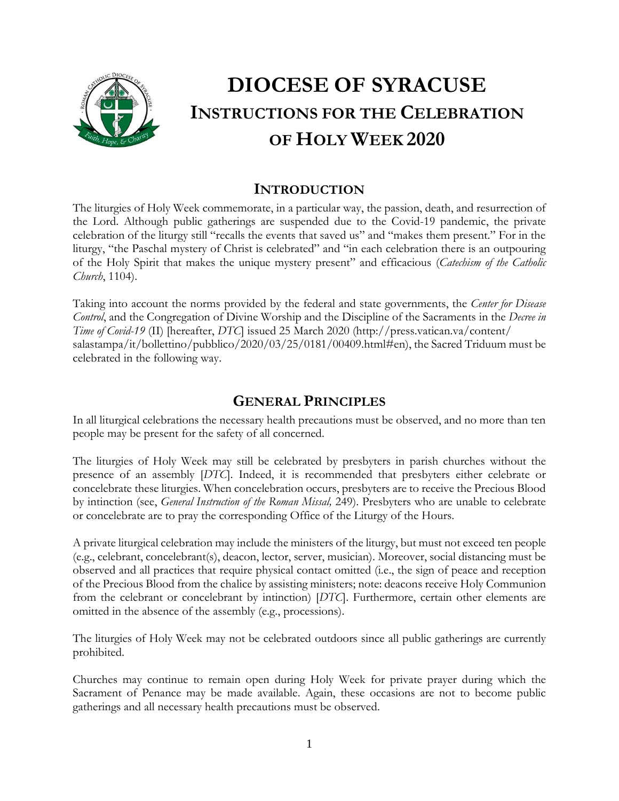

# **DIOCESE OF SYRACUSE INSTRUCTIONS FOR THE CELEBRATION OF HOLY WEEK 2020**

## **INTRODUCTION**

The liturgies of Holy Week commemorate, in a particular way, the passion, death, and resurrection of the Lord. Although public gatherings are suspended due to the Covid-19 pandemic, the private celebration of the liturgy still "recalls the events that saved us" and "makes them present." For in the liturgy, "the Paschal mystery of Christ is celebrated" and "in each celebration there is an outpouring of the Holy Spirit that makes the unique mystery present" and efficacious (*Catechism of the Catholic Church*, 1104).

Taking into account the norms provided by the federal and state governments, the *Center for Disease Control*, and the Congregation of Divine Worship and the Discipline of the Sacraments in the *Decree in Time of Covid-19* (II) [hereafter, *DTC*] issued 25 March 2020 (http://press.vatican.va/content/ salastampa/it/bollettino/pubblico/2020/03/25/0181/00409.html#en), the Sacred Triduum must be celebrated in the following way.

## **GENERAL PRINCIPLES**

In all liturgical celebrations the necessary health precautions must be observed, and no more than ten people may be present for the safety of all concerned.

The liturgies of Holy Week may still be celebrated by presbyters in parish churches without the presence of an assembly [*DTC*]. Indeed, it is recommended that presbyters either celebrate or concelebrate these liturgies. When concelebration occurs, presbyters are to receive the Precious Blood by intinction (see, *General Instruction of the Roman Missal,* 249). Presbyters who are unable to celebrate or concelebrate are to pray the corresponding Office of the Liturgy of the Hours.

A private liturgical celebration may include the ministers of the liturgy, but must not exceed ten people (e.g., celebrant, concelebrant(s), deacon, lector, server, musician). Moreover, social distancing must be observed and all practices that require physical contact omitted (i.e., the sign of peace and reception of the Precious Blood from the chalice by assisting ministers; note: deacons receive Holy Communion from the celebrant or concelebrant by intinction) [*DTC*]. Furthermore, certain other elements are omitted in the absence of the assembly (e.g., processions).

The liturgies of Holy Week may not be celebrated outdoors since all public gatherings are currently prohibited.

Churches may continue to remain open during Holy Week for private prayer during which the Sacrament of Penance may be made available. Again, these occasions are not to become public gatherings and all necessary health precautions must be observed.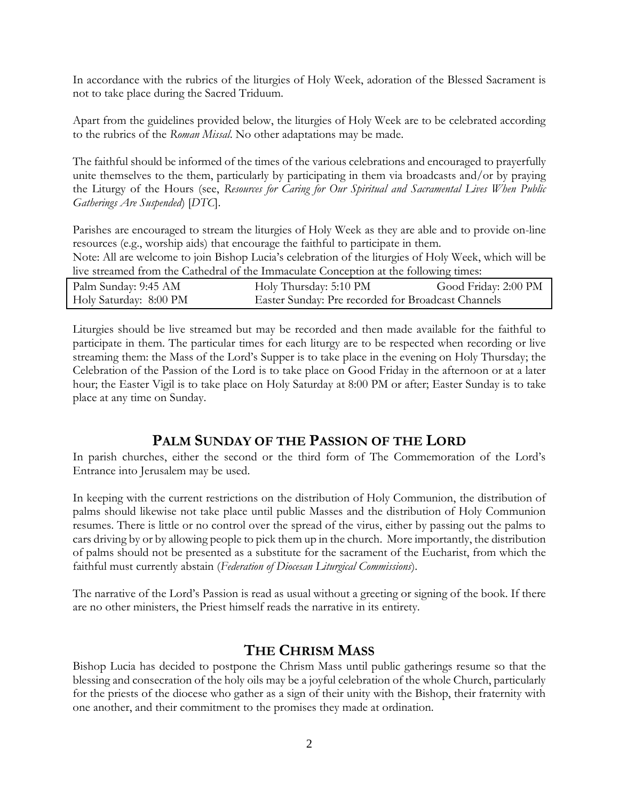In accordance with the rubrics of the liturgies of Holy Week, adoration of the Blessed Sacrament is not to take place during the Sacred Triduum.

Apart from the guidelines provided below, the liturgies of Holy Week are to be celebrated according to the rubrics of the *Roman Missal*. No other adaptations may be made.

The faithful should be informed of the times of the various celebrations and encouraged to prayerfully unite themselves to the them, particularly by participating in them via broadcasts and/or by praying the Liturgy of the Hours (see, *Resources for Caring for Our Spiritual and Sacramental Lives When Public Gatherings Are Suspended*) [*DTC*].

Parishes are encouraged to stream the liturgies of Holy Week as they are able and to provide on-line resources (e.g., worship aids) that encourage the faithful to participate in them.

Note: All are welcome to join Bishop Lucia's celebration of the liturgies of Holy Week, which will be live streamed from the Cathedral of the Immaculate Conception at the following times:

| Palm Sunday: 9:45 AM   | Holy Thursday: 5:10 PM                             | Good Friday: 2:00 PM |
|------------------------|----------------------------------------------------|----------------------|
| Holy Saturday: 8:00 PM | Easter Sunday: Pre recorded for Broadcast Channels |                      |

Liturgies should be live streamed but may be recorded and then made available for the faithful to participate in them. The particular times for each liturgy are to be respected when recording or live streaming them: the Mass of the Lord's Supper is to take place in the evening on Holy Thursday; the Celebration of the Passion of the Lord is to take place on Good Friday in the afternoon or at a later hour; the Easter Vigil is to take place on Holy Saturday at 8:00 PM or after; Easter Sunday is to take place at any time on Sunday.

### **PALM SUNDAY OF THE PASSION OF THE LORD**

In parish churches, either the second or the third form of The Commemoration of the Lord's Entrance into Jerusalem may be used.

In keeping with the current restrictions on the distribution of Holy Communion, the distribution of palms should likewise not take place until public Masses and the distribution of Holy Communion resumes. There is little or no control over the spread of the virus, either by passing out the palms to cars driving by or by allowing people to pick them up in the church. More importantly, the distribution of palms should not be presented as a substitute for the sacrament of the Eucharist, from which the faithful must currently abstain (*Federation of Diocesan Liturgical Commissions*).

The narrative of the Lord's Passion is read as usual without a greeting or signing of the book. If there are no other ministers, the Priest himself reads the narrative in its entirety.

## **THE CHRISM MASS**

Bishop Lucia has decided to postpone the Chrism Mass until public gatherings resume so that the blessing and consecration of the holy oils may be a joyful celebration of the whole Church, particularly for the priests of the diocese who gather as a sign of their unity with the Bishop, their fraternity with one another, and their commitment to the promises they made at ordination.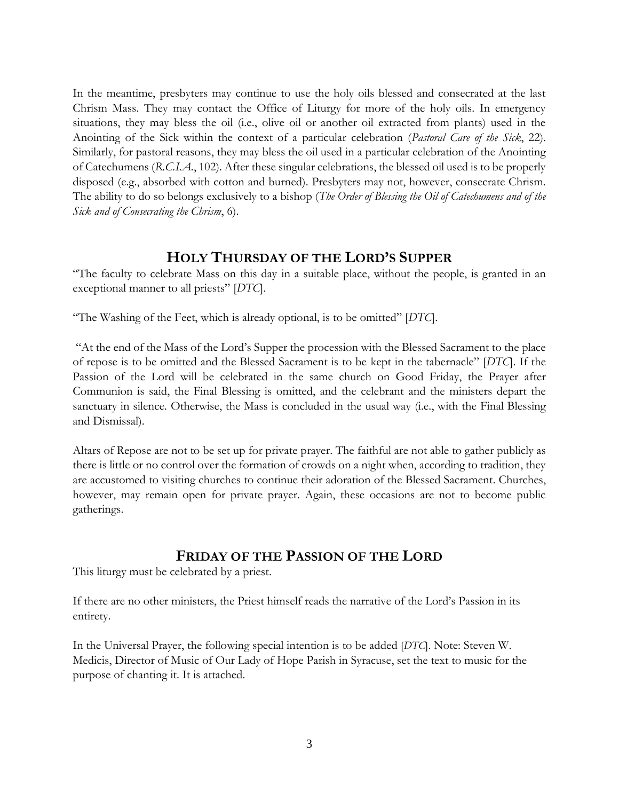In the meantime, presbyters may continue to use the holy oils blessed and consecrated at the last Chrism Mass. They may contact the Office of Liturgy for more of the holy oils. In emergency situations, they may bless the oil (i.e., olive oil or another oil extracted from plants) used in the Anointing of the Sick within the context of a particular celebration (*Pastoral Care of the Sick*, 22). Similarly, for pastoral reasons, they may bless the oil used in a particular celebration of the Anointing of Catechumens (*R.C.I.A.*, 102). After these singular celebrations, the blessed oil used is to be properly disposed (e.g., absorbed with cotton and burned). Presbyters may not, however, consecrate Chrism. The ability to do so belongs exclusively to a bishop (*The Order of Blessing the Oil of Catechumens and of the Sick and of Consecrating the Chrism*, 6).

#### **HOLY THURSDAY OF THE LORD'S SUPPER**

"The faculty to celebrate Mass on this day in a suitable place, without the people, is granted in an exceptional manner to all priests" [*DTC*].

"The Washing of the Feet, which is already optional, is to be omitted" [*DTC*].

"At the end of the Mass of the Lord's Supper the procession with the Blessed Sacrament to the place of repose is to be omitted and the Blessed Sacrament is to be kept in the tabernacle" [*DTC*]. If the Passion of the Lord will be celebrated in the same church on Good Friday, the Prayer after Communion is said, the Final Blessing is omitted, and the celebrant and the ministers depart the sanctuary in silence. Otherwise, the Mass is concluded in the usual way (i.e., with the Final Blessing and Dismissal).

Altars of Repose are not to be set up for private prayer. The faithful are not able to gather publicly as there is little or no control over the formation of crowds on a night when, according to tradition, they are accustomed to visiting churches to continue their adoration of the Blessed Sacrament. Churches, however, may remain open for private prayer. Again, these occasions are not to become public gatherings.

#### **FRIDAY OF THE PASSION OF THE LORD**

This liturgy must be celebrated by a priest.

If there are no other ministers, the Priest himself reads the narrative of the Lord's Passion in its entirety.

In the Universal Prayer, the following special intention is to be added [*DTC*]. Note: Steven W. Medicis, Director of Music of Our Lady of Hope Parish in Syracuse, set the text to music for the purpose of chanting it. It is attached.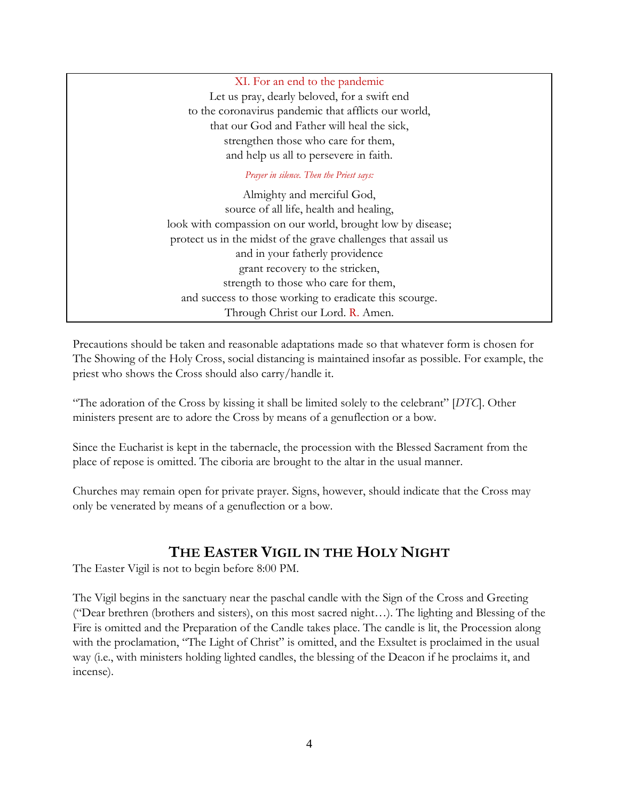XI. For an end to the pandemic Let us pray, dearly beloved, for a swift end to the coronavirus pandemic that afflicts our world, that our God and Father will heal the sick, strengthen those who care for them, and help us all to persevere in faith.

#### *Prayer in silence. Then the Priest says:*

Almighty and merciful God, source of all life, health and healing, look with compassion on our world, brought low by disease; protect us in the midst of the grave challenges that assail us and in your fatherly providence grant recovery to the stricken, strength to those who care for them, and success to those working to eradicate this scourge. Through Christ our Lord. R. Amen.

Precautions should be taken and reasonable adaptations made so that whatever form is chosen for The Showing of the Holy Cross, social distancing is maintained insofar as possible. For example, the priest who shows the Cross should also carry/handle it.

"The adoration of the Cross by kissing it shall be limited solely to the celebrant" [*DTC*]. Other ministers present are to adore the Cross by means of a genuflection or a bow.

Since the Eucharist is kept in the tabernacle, the procession with the Blessed Sacrament from the place of repose is omitted. The ciboria are brought to the altar in the usual manner.

Churches may remain open for private prayer. Signs, however, should indicate that the Cross may only be venerated by means of a genuflection or a bow.

### **THE EASTER VIGIL IN THE HOLY NIGHT**

The Easter Vigil is not to begin before 8:00 PM.

The Vigil begins in the sanctuary near the paschal candle with the Sign of the Cross and Greeting ("Dear brethren (brothers and sisters), on this most sacred night…). The lighting and Blessing of the Fire is omitted and the Preparation of the Candle takes place. The candle is lit, the Procession along with the proclamation, "The Light of Christ" is omitted, and the Exsultet is proclaimed in the usual way (i.e., with ministers holding lighted candles, the blessing of the Deacon if he proclaims it, and incense).